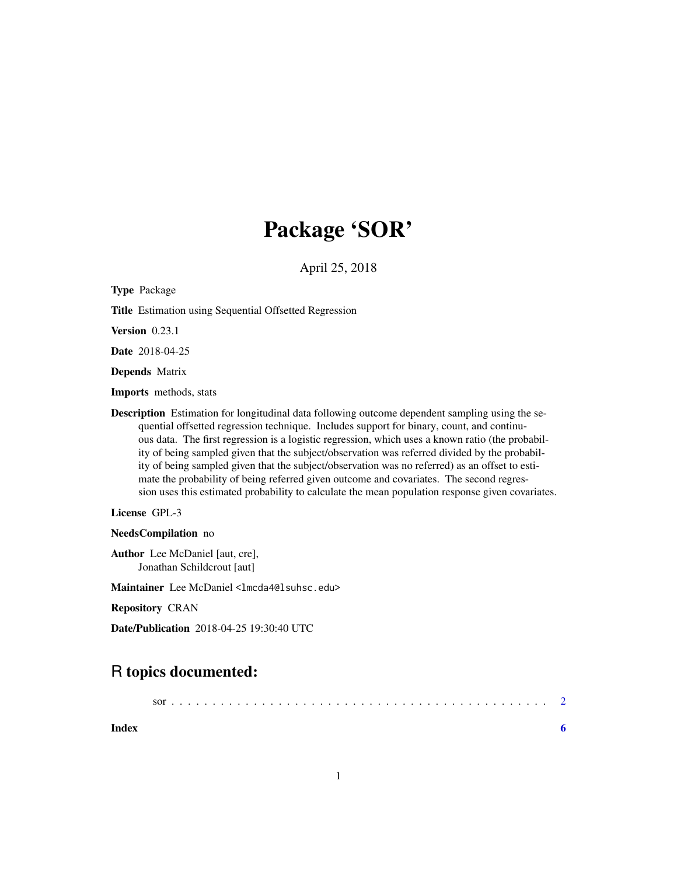## Package 'SOR'

April 25, 2018

Type Package Title Estimation using Sequential Offsetted Regression Version 0.23.1 Date 2018-04-25 Depends Matrix Imports methods, stats Description Estimation for longitudinal data following outcome dependent sampling using the sequential offsetted regression technique. Includes support for binary, count, and continuous data. The first regression is a logistic regression, which uses a known ratio (the probability of being sampled given that the subject/observation was referred divided by the probability of being sampled given that the subject/observation was no referred) as an offset to estimate the probability of being referred given outcome and covariates. The second regression uses this estimated probability to calculate the mean population response given covariates. License GPL-3

NeedsCompilation no

Author Lee McDaniel [aut, cre], Jonathan Schildcrout [aut]

Maintainer Lee McDaniel <lmcda4@lsuhsc.edu>

Repository CRAN

Date/Publication 2018-04-25 19:30:40 UTC

### R topics documented:

| Index |  |  |  |  |  |  |  |  |  |  |  |  |  |  |  |  |  |  |  |  |
|-------|--|--|--|--|--|--|--|--|--|--|--|--|--|--|--|--|--|--|--|--|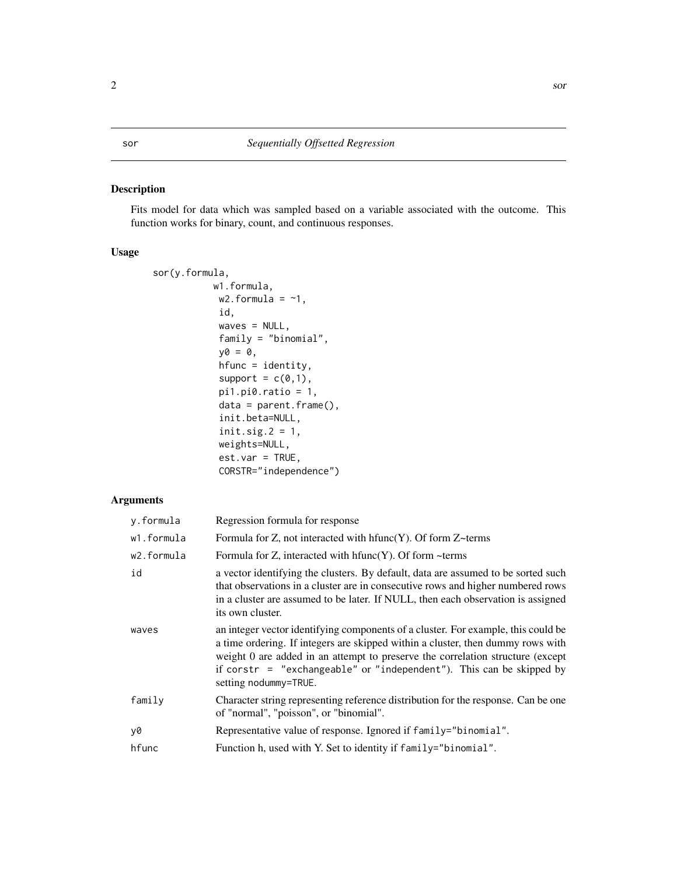#### <span id="page-1-0"></span>Description

Fits model for data which was sampled based on a variable associated with the outcome. This function works for binary, count, and continuous responses.

#### Usage

```
sor(y.formula,
           w1.formula,
            w2.formula = \sim1,
            id,
            waves = NULL,
            family = "binomial",
            y0 = 0,
            hfunc = identity,
            support = c(0,1),
            pi1.pi0.ratio = 1,
            data = parent.frame(),
            init.beta=NULL,
            init.size.2 = 1,
            weights=NULL,
            est.var = TRUE,
            CORSTR="independence")
```
#### Arguments

| y.formula  | Regression formula for response                                                                                                                                                                                                                                                                                                                         |
|------------|---------------------------------------------------------------------------------------------------------------------------------------------------------------------------------------------------------------------------------------------------------------------------------------------------------------------------------------------------------|
| w1.formula | Formula for Z, not interacted with $hfunc(Y)$ . Of form Z~terms                                                                                                                                                                                                                                                                                         |
| w2.formula | Formula for Z, interacted with $hfunc(Y)$ . Of form ~terms                                                                                                                                                                                                                                                                                              |
| id         | a vector identifying the clusters. By default, data are assumed to be sorted such<br>that observations in a cluster are in consecutive rows and higher numbered rows<br>in a cluster are assumed to be later. If NULL, then each observation is assigned<br>its own cluster.                                                                            |
| waves      | an integer vector identifying components of a cluster. For example, this could be<br>a time ordering. If integers are skipped within a cluster, then dummy rows with<br>weight 0 are added in an attempt to preserve the correlation structure (except<br>if corstr = "exchangeable" or "independent"). This can be skipped by<br>setting nodummy=TRUE. |
| family     | Character string representing reference distribution for the response. Can be one<br>of "normal", "poisson", or "binomial".                                                                                                                                                                                                                             |
| y0         | Representative value of response. Ignored if family="binomial".                                                                                                                                                                                                                                                                                         |
| hfunc      | Function h, used with Y. Set to identity if family="binomial".                                                                                                                                                                                                                                                                                          |
|            |                                                                                                                                                                                                                                                                                                                                                         |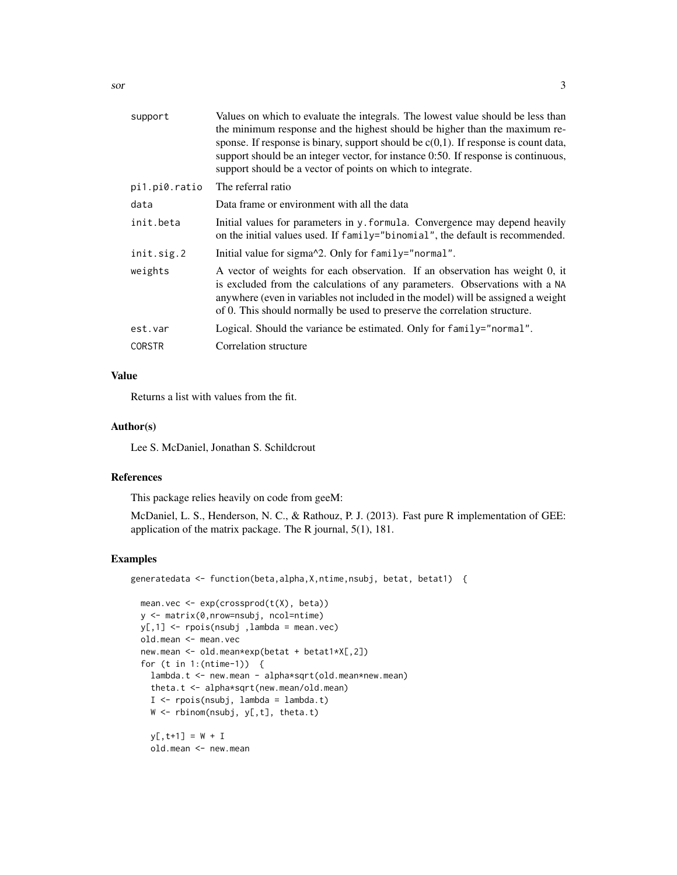| support       | Values on which to evaluate the integrals. The lowest value should be less than<br>the minimum response and the highest should be higher than the maximum re-<br>sponse. If response is binary, support should be $c(0,1)$ . If response is count data,<br>support should be an integer vector, for instance 0:50. If response is continuous,<br>support should be a vector of points on which to integrate. |
|---------------|--------------------------------------------------------------------------------------------------------------------------------------------------------------------------------------------------------------------------------------------------------------------------------------------------------------------------------------------------------------------------------------------------------------|
| pi1.pi0.ratio | The referral ratio                                                                                                                                                                                                                                                                                                                                                                                           |
| data          | Data frame or environment with all the data                                                                                                                                                                                                                                                                                                                                                                  |
| init.beta     | Initial values for parameters in y. formula. Convergence may depend heavily<br>on the initial values used. If family="binomial", the default is recommended.                                                                                                                                                                                                                                                 |
| init.sig.2    | Initial value for sigma <sup><math>\lambda</math></sup> 2. Only for family="normal".                                                                                                                                                                                                                                                                                                                         |
| weights       | A vector of weights for each observation. If an observation has weight 0, it<br>is excluded from the calculations of any parameters. Observations with a NA<br>anywhere (even in variables not included in the model) will be assigned a weight<br>of 0. This should normally be used to preserve the correlation structure.                                                                                 |
| est.var       | Logical. Should the variance be estimated. Only for family="normal".                                                                                                                                                                                                                                                                                                                                         |
| <b>CORSTR</b> | Correlation structure                                                                                                                                                                                                                                                                                                                                                                                        |
|               |                                                                                                                                                                                                                                                                                                                                                                                                              |

#### Value

Returns a list with values from the fit.

#### Author(s)

Lee S. McDaniel, Jonathan S. Schildcrout

#### References

This package relies heavily on code from geeM:

McDaniel, L. S., Henderson, N. C., & Rathouz, P. J. (2013). Fast pure R implementation of GEE: application of the matrix package. The R journal, 5(1), 181.

#### Examples

generatedata <- function(beta,alpha,X,ntime,nsubj, betat, betat1) {

```
mean.vec \leq exp(crossprod(t(X), beta))
y <- matrix(0,nrow=nsubj, ncol=ntime)
y[,1] <- rpois(nsubj ,lambda = mean.vec)
old.mean <- mean.vec
new.mean <- old.mean*exp(betat + betat1*X[,2])
for (t in 1:(ntime-1)) {
 lambda.t <- new.mean - alpha*sqrt(old.mean*new.mean)
  theta.t <- alpha*sqrt(new.mean/old.mean)
 I <- rpois(nsubj, lambda = lambda.t)
 W \leftarrow rbinom(nsubj, y[,t], theta.t)
 y[, t+1] = W + Iold.mean <- new.mean
```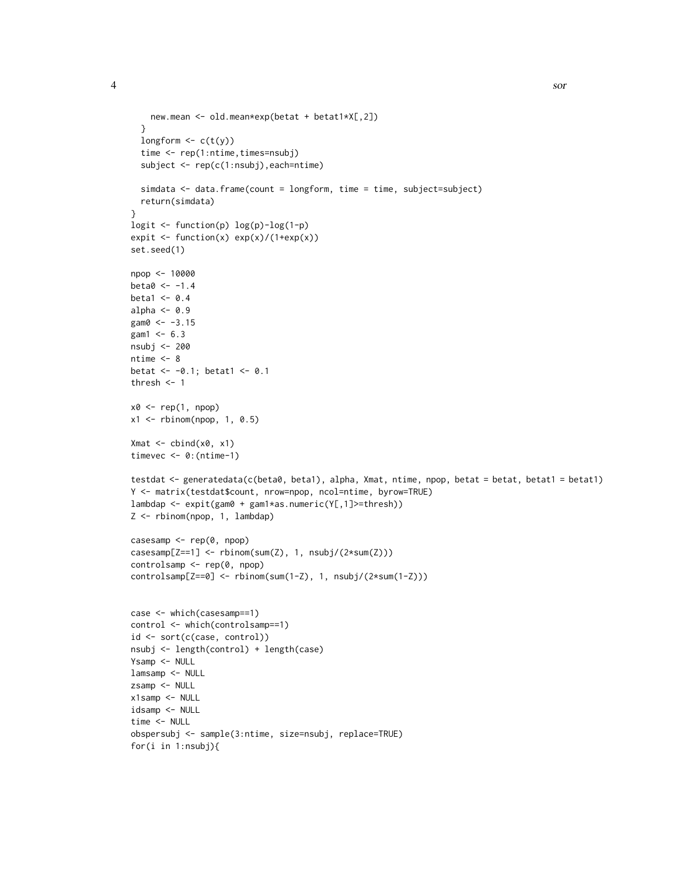```
new.mean <- old.mean*exp(betat + betat1*X[,2])
  }
  longform \leftarrow c(t(y))time <- rep(1:ntime,times=nsubj)
  subject <- rep(c(1:nsubj),each=ntime)
  simdata <- data.frame(count = longform, time = time, subject=subject)
  return(simdata)
}
logit <- function(p) log(p)-log(1-p)
expit <- function(x) exp(x)/(1+exp(x))
set.seed(1)
npop <- 10000
beta < -1.4beta1 < -0.4alpha <- 0.9
gam0 < -3.15gam1 < -6.3nsubj <- 200
ntime <-8betat <-0.1; betat1 <-0.1thresh <-1x0 <- rep(1, npop)
x1 \leftarrow \text{rbinom}(npop, 1, 0.5)Xmat \leftarrow \text{cbind}(x0, x1)timevec <- 0:(ntime-1)
testdat <- generatedata(c(beta0, beta1), alpha, Xmat, ntime, npop, betat = betat, betat1 = betat1)
Y <- matrix(testdat$count, nrow=npop, ncol=ntime, byrow=TRUE)
lambdap <- expit(gam0 + gam1*as.numeric(Y[,1]>=thresh))
Z <- rbinom(npop, 1, lambdap)
casesamp <- rep(0, npop)
casesamp[Z==1] <- rbinom(sum(Z), 1, nsubj/(2*sum(Z)))
controlsamp <- rep(0, npop)
controlsamp[Z==0] <- rbinom(sum(1-Z), 1, nsubj/(2*sum(1-Z)))
case <- which(casesamp==1)
control <- which(controlsamp==1)
id <- sort(c(case, control))
nsubj <- length(control) + length(case)
Ysamp <- NULL
lamsamp <- NULL
zsamp <- NULL
x1samp <- NULL
idsamp <- NULL
time <- NULL
obspersubj <- sample(3:ntime, size=nsubj, replace=TRUE)
for(i in 1:nsubj){
```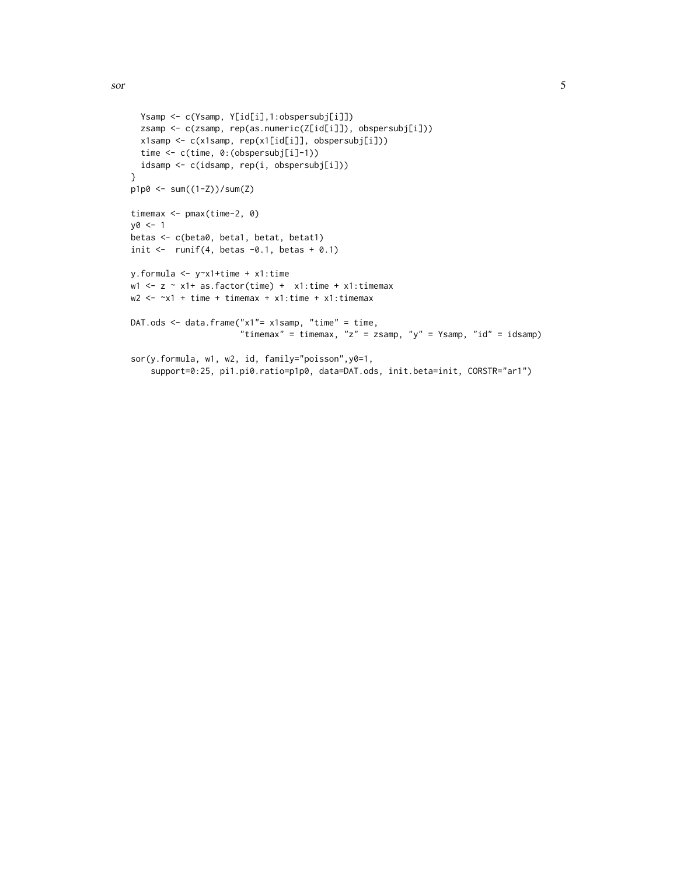```
Ysamp <- c(Ysamp, Y[id[i],1:obspersubj[i]])
  zsamp <- c(zsamp, rep(as.numeric(Z[id[i]]), obspersubj[i]))
  x1samp <- c(x1samp, rep(x1[id[i]], obspersubj[i]))
  time <- c(time, 0:(obspersubj[i]-1))
  idsamp <- c(idsamp, rep(i, obspersubj[i]))
}
p1p0 <- sum((1-Z))/sum(Z)
timemax <- pmax(time-2, 0)
y0 <- 1
betas <- c(beta0, beta1, betat, betat1)
init \le runif(4, betas -0.1, betas +0.1)
y.formula <- y~x1+time + x1:time
w1 <- z \sim x1+ as.factor(time) + x1:time + x1:timemax
w2 \le -x1 + time + time + x1: time + x1: time + x1: timemax
DAT.ods <- data.frame("x1"= x1samp, "time" = time,
                      "timemax" = timemax, "z" = zsamp, "y" = Ysamp, "id" = idsamp)
sor(y.formula, w1, w2, id, family="poisson",y0=1,
    support=0:25, pi1.pi0.ratio=p1p0, data=DAT.ods, init.beta=init, CORSTR="ar1")
```